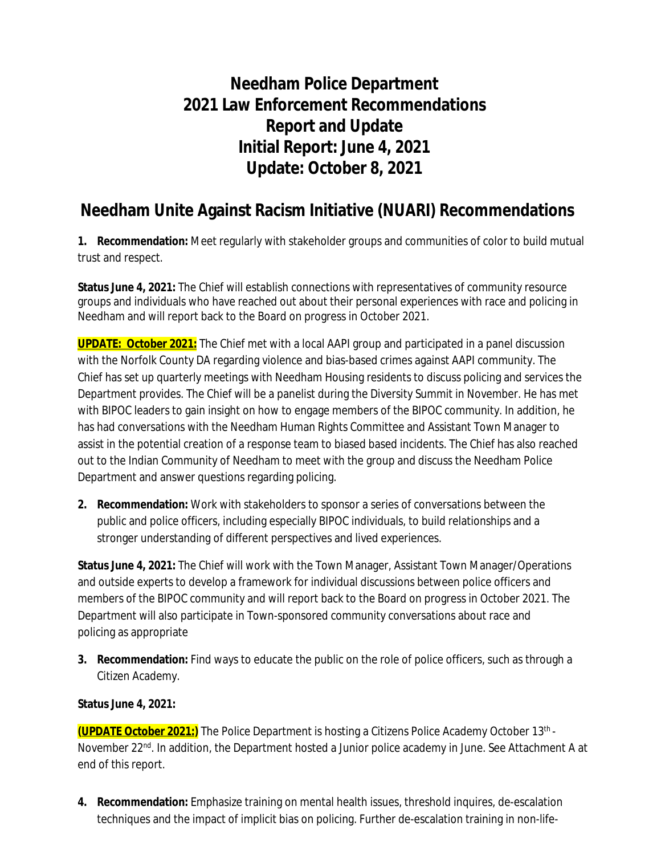# **Needham Police Department 2021 Law Enforcement Recommendations Report and Update Initial Report: June 4, 2021 Update: October 8, 2021**

### **Needham Unite Against Racism Initiative (NUARI) Recommendations**

**1. Recommendation:** Meet regularly with stakeholder groups and communities of color to build mutual trust and respect.

**Status June 4, 2021:** The Chief will establish connections with representatives of community resource groups and individuals who have reached out about their personal experiences with race and policing in Needham and will report back to the Board on progress in October 2021.

**UPDATE: October 2021:** The Chief met with a local AAPI group and participated in a panel discussion with the Norfolk County DA regarding violence and bias-based crimes against AAPI community. The Chief has set up quarterly meetings with Needham Housing residents to discuss policing and services the Department provides. The Chief will be a panelist during the Diversity Summit in November. He has met with BIPOC leaders to gain insight on how to engage members of the BIPOC community. In addition, he has had conversations with the Needham Human Rights Committee and Assistant Town Manager to assist in the potential creation of a response team to biased based incidents. The Chief has also reached out to the Indian Community of Needham to meet with the group and discuss the Needham Police Department and answer questions regarding policing.

**2. Recommendation:** Work with stakeholders to sponsor a series of conversations between the public and police officers, including especially BIPOC individuals, to build relationships and a stronger understanding of different perspectives and lived experiences.

**Status June 4, 2021:** The Chief will work with the Town Manager, Assistant Town Manager/Operations and outside experts to develop a framework for individual discussions between police officers and members of the BIPOC community and will report back to the Board on progress in October 2021. The Department will also participate in Town-sponsored community conversations about race and policing as appropriate

**3. Recommendation:** Find ways to educate the public on the role of police officers, such as through a Citizen Academy.

#### **Status June 4, 2021:**

**(UPDATE October 2021:)** The Police Department is hosting a Citizens Police Academy October 13th - November 22<sup>nd</sup>. In addition, the Department hosted a Junior police academy in June. See Attachment A at end of this report.

**4. Recommendation:** Emphasize training on mental health issues, threshold inquires, de-escalation techniques and the impact of implicit bias on policing. Further de-escalation training in non-life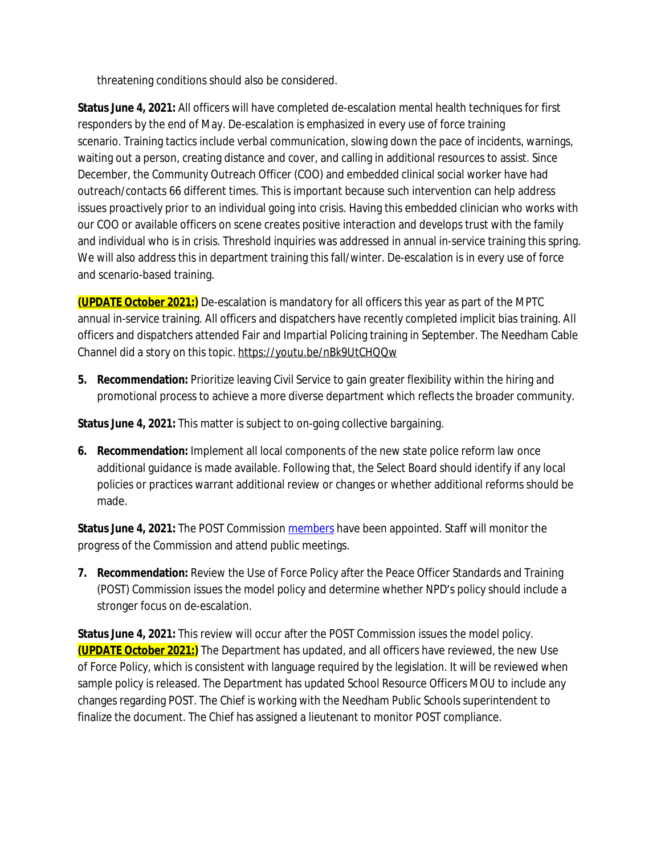threatening conditions should also be considered.

**Status June 4, 2021:** All officers will have completed de-escalation mental health techniques for first responders by the end of May. De-escalation is emphasized in every use of force training scenario. Training tactics include verbal communication, slowing down the pace of incidents, warnings, waiting out a person, creating distance and cover, and calling in additional resources to assist. Since December, the Community Outreach Officer (COO) and embedded clinical social worker have had outreach/contacts 66 different times. This is important because such intervention can help address issues proactively prior to an individual going into crisis. Having this embedded clinician who works with our COO or available officers on scene creates positive interaction and develops trust with the family and individual who is in crisis. Threshold inquiries was addressed in annual in-service training this spring. We will also address this in department training this fall/winter. De-escalation is in every use of force and scenario-based training.

**(UPDATE October 2021:)** De-escalation is mandatory for all officers this year as part of the MPTC annual in-service training. All officers and dispatchers have recently completed implicit bias training. All officers and dispatchers attended Fair and Impartial Policing training in September. The Needham Cable Channel did a story on this topic. <https://youtu.be/nBk9UtCHQQw>

**5. Recommendation:** Prioritize leaving Civil Service to gain greater flexibility within the hiring and promotional process to achieve a more diverse department which reflects the broader community.

**Status June 4, 2021:** This matter is subject to on-going collective bargaining.

**6. Recommendation:** Implement all local components of the new state police reform law once additional guidance is made available. Following that, the Select Board should identify if any local policies or practices warrant additional review or changes or whether additional reforms should be made.

Status June 4, 2021: The POST Commission [members](https://www.mass.gov/news/governor-and-attorney-general-appoint-9-inaugural-members-to-the-massachusetts-peace-officer-standards-and-training-commission) have been appointed. Staff will monitor the progress of the Commission and attend public meetings.

**7. Recommendation:** Review the Use of Force Policy after the Peace Officer Standards and Training (POST) Commission issues the model policy and determine whether NPD's policy should include a stronger focus on de-escalation.

**Status June 4, 2021:** This review will occur after the POST Commission issues the model policy. **(UPDATE October 2021:)** The Department has updated, and all officers have reviewed, the new Use of Force Policy, which is consistent with language required by the legislation. It will be reviewed when sample policy is released. The Department has updated School Resource Officers MOU to include any changes regarding POST. The Chief is working with the Needham Public Schools superintendent to finalize the document. The Chief has assigned a lieutenant to monitor POST compliance.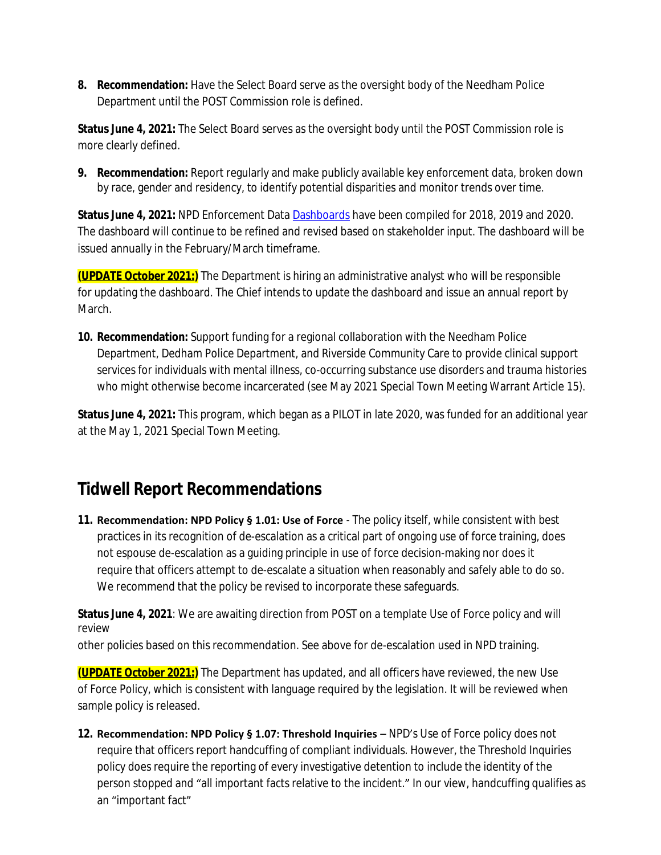**8. Recommendation:** Have the Select Board serve as the oversight body of the Needham Police Department until the POST Commission role is defined.

**Status June 4, 2021:** The Select Board serves as the oversight body until the POST Commission role is more clearly defined.

**9. Recommendation:** Report regularly and make publicly available key enforcement data, broken down by race, gender and residency, to identify potential disparities and monitor trends over time.

**Status June 4, 2021:** NPD Enforcement Data [Dashboards](http://needhamma.gov/4998/Annual-Data-Reports) [h](http://needhamma.gov/4998/Annual-Data-Reports)ave been compiled for 2018, 2019 and 2020. The dashboard will continue to be refined and revised based on stakeholder input. The dashboard will be issued annually in the February/March timeframe.

**(UPDATE October 2021:)** The Department is hiring an administrative analyst who will be responsible for updating the dashboard. The Chief intends to update the dashboard and issue an annual report by March.

**10. Recommendation:** Support funding for a regional collaboration with the Needham Police Department, Dedham Police Department, and Riverside Community Care to provide clinical support services for individuals with mental illness, co-occurring substance use disorders and trauma histories who might otherwise become incarcerated (see May 2021 Special Town Meeting Warrant Article 15).

**Status June 4, 2021:** This program, which began as a PILOT in late 2020, was funded for an additional year at the May 1, 2021 Special Town Meeting.

# **Tidwell Report Recommendations**

**11. Recommendation: NPD Policy § 1.01: Use of Force** - The policy itself, while consistent with best practices in its recognition of de-escalation as a critical part of ongoing use of force training, does not espouse de-escalation as a guiding principle in use of force decision-making nor does it require that officers attempt to de-escalate a situation when reasonably and safely able to do so. We recommend that the policy be revised to incorporate these safeguards.

**Status June 4, 2021**: We are awaiting direction from POST on a template Use of Force policy and will review

other policies based on this recommendation. See above for de-escalation used in NPD training.

**(UPDATE October 2021:)** The Department has updated, and all officers have reviewed, the new Use of Force Policy, which is consistent with language required by the legislation. It will be reviewed when sample policy is released.

**12. Recommendation: NPD Policy § 1.07: Threshold Inquiries - NPD's Use of Force policy does not** require that officers report handcuffing of compliant individuals. However, the Threshold Inquiries policy does require the reporting of every investigative detention to include the identity of the person stopped and "all important facts relative to the incident." In our view, handcuffing qualifies as an "important fact"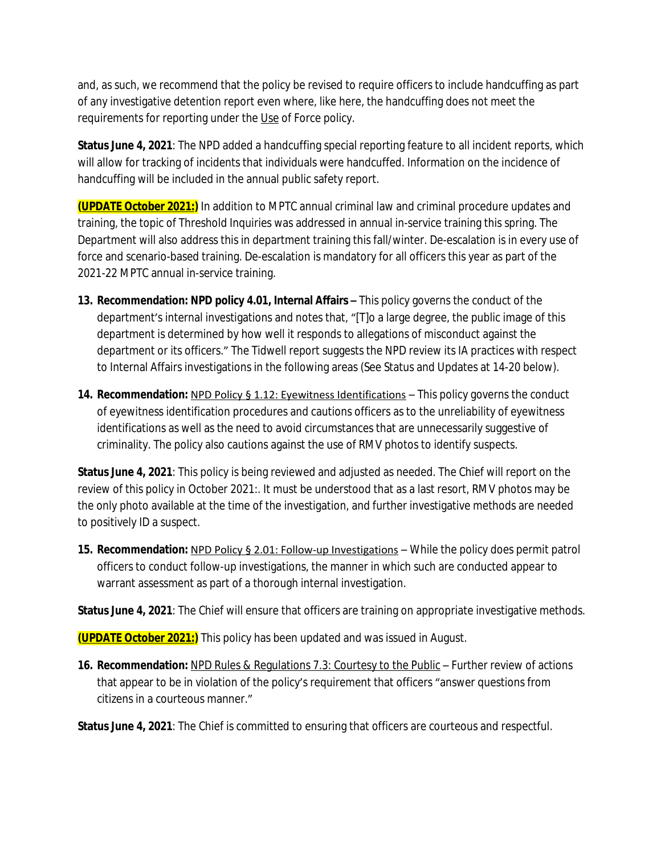and, as such, we recommend that the policy be revised to require officers to include handcuffing as part of any investigative detention report even where, like here, the handcuffing does not meet the requirements for reporting under the Use of Force policy.

**Status June 4, 2021**: The NPD added a handcuffing special reporting feature to all incident reports, which will allow for tracking of incidents that individuals were handcuffed. Information on the incidence of handcuffing will be included in the annual public safety report.

**(UPDATE October 2021:)** In addition to MPTC annual criminal law and criminal procedure updates and training, the topic of Threshold Inquiries was addressed in annual in-service training this spring. The Department will also address this in department training this fall/winter. De-escalation is in every use of force and scenario-based training. De-escalation is mandatory for all officers this year as part of the 2021-22 MPTC annual in-service training.

- **13. Recommendation: NPD policy 4.01, Internal Affairs This policy governs the conduct of the** department's internal investigations and notes that, "[T]o a large degree, the public image of this department is determined by how well it responds to allegations of misconduct against the department or its officers." The Tidwell report suggests the NPD review its IA practices with respect to Internal Affairs investigations in the following areas (See Status and Updates at 14-20 below).
- **14. Recommendation: NPD Policy § 1.12: Eyewitness Identifications This policy governs the conduct** of eyewitness identification procedures and cautions officers as to the unreliability of eyewitness identifications as well as the need to avoid circumstances that are unnecessarily suggestive of criminality. The policy also cautions against the use of RMV photos to identify suspects.

**Status June 4, 2021**: This policy is being reviewed and adjusted as needed. The Chief will report on the review of this policy in October 2021:. It must be understood that as a last resort, RMV photos may be the only photo available at the time of the investigation, and further investigative methods are needed to positively ID a suspect.

**15. Recommendation:** NPD Policy § 2.01: Follow-up Investigations – While the policy does permit patrol officers to conduct follow-up investigations, the manner in which such are conducted appear to warrant assessment as part of a thorough internal investigation.

**Status June 4, 2021**: The Chief will ensure that officers are training on appropriate investigative methods.

**(UPDATE October 2021:)** This policy has been updated and was issued in August.

**16. Recommendation:** NPD Rules & Regulations 7.3: Courtesy to the Public – Further review of actions that appear to be in violation of the policy's requirement that officers "answer questions from citizens in a courteous manner."

**Status June 4, 2021**: The Chief is committed to ensuring that officers are courteous and respectful.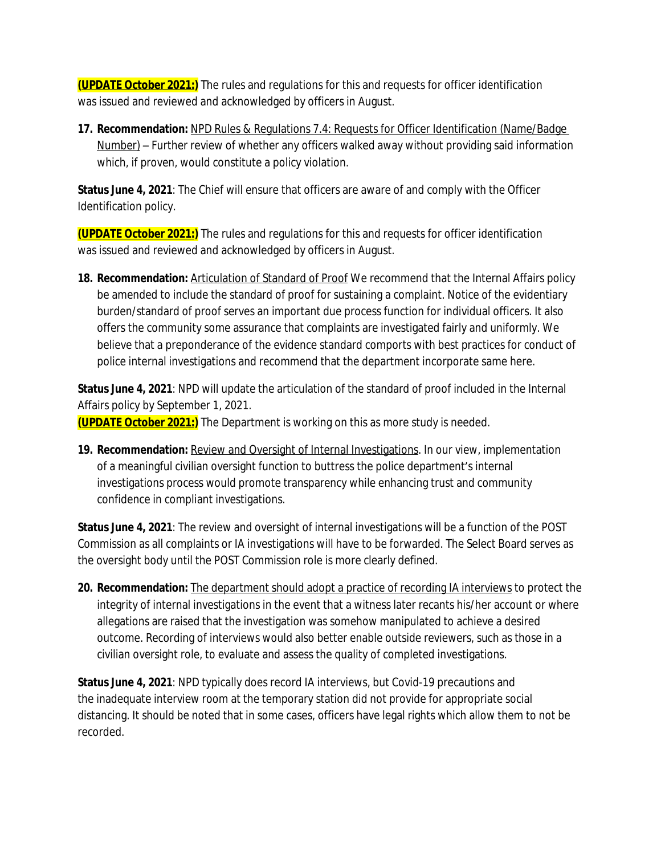**(UPDATE October 2021:)** The rules and regulations for this and requests for officer identification was issued and reviewed and acknowledged by officers in August.

**17. Recommendation:** NPD Rules & Regulations 7.4: Requests for Officer Identification (Name/Badge Number) – Further review of whether any officers walked away without providing said information which, if proven, would constitute a policy violation.

**Status June 4, 2021**: The Chief will ensure that officers are aware of and comply with the Officer Identification policy.

**(UPDATE October 2021:)** The rules and regulations for this and requests for officer identification was issued and reviewed and acknowledged by officers in August.

18. Recommendation: Articulation of Standard of Proof We recommend that the Internal Affairs policy be amended to include the standard of proof for sustaining a complaint. Notice of the evidentiary burden/standard of proof serves an important due process function for individual officers. It also offers the community some assurance that complaints are investigated fairly and uniformly. We believe that a preponderance of the evidence standard comports with best practices for conduct of police internal investigations and recommend that the department incorporate same here.

**Status June 4, 2021**: NPD will update the articulation of the standard of proof included in the Internal Affairs policy by September 1, 2021.

**(UPDATE October 2021:)** The Department is working on this as more study is needed.

**19. Recommendation: Review and Oversight of Internal Investigations**. In our view, implementation of a meaningful civilian oversight function to buttress the police department's internal investigations process would promote transparency while enhancing trust and community confidence in compliant investigations.

**Status June 4, 2021**: The review and oversight of internal investigations will be a function of the POST Commission as all complaints or IA investigations will have to be forwarded. The Select Board serves as the oversight body until the POST Commission role is more clearly defined.

**20. Recommendation:** The department should adopt a practice of recording IA interviews to protect the integrity of internal investigations in the event that a witness later recants his/her account or where allegations are raised that the investigation was somehow manipulated to achieve a desired outcome. Recording of interviews would also better enable outside reviewers, such as those in a civilian oversight role, to evaluate and assess the quality of completed investigations.

**Status June 4, 2021**: NPD typically does record IA interviews, but Covid-19 precautions and the inadequate interview room at the temporary station did not provide for appropriate social distancing. It should be noted that in some cases, officers have legal rights which allow them to not be recorded.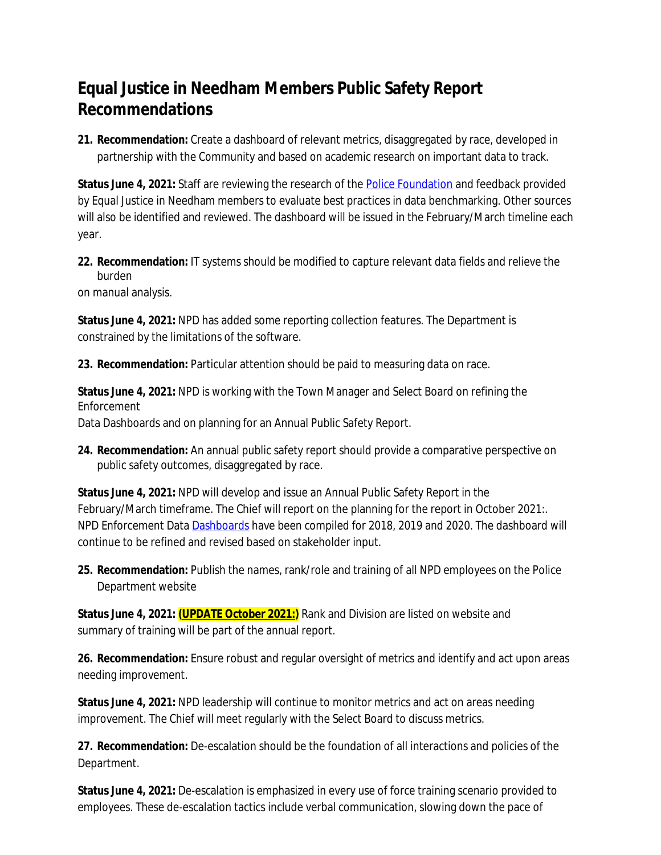# **Equal Justice in Needham Members Public Safety Report Recommendations**

**21. Recommendation:** Create a dashboard of relevant metrics, disaggregated by race, developed in partnership with the Community and based on academic research on important data to track.

**Status June 4, 2021:** Staff are reviewing the research of the [Police Foundation](https://www.policefoundation.org/) and feedback provided by Equal Justice in Needham members to evaluate best practices in data benchmarking. Other sources will also be identified and reviewed. The dashboard will be issued in the February/March timeline each year.

**22. Recommendation:** IT systems should be modified to capture relevant data fields and relieve the burden

on manual analysis.

**Status June 4, 2021:** NPD has added some reporting collection features. The Department is constrained by the limitations of the software.

**23. Recommendation:** Particular attention should be paid to measuring data on race.

**Status June 4, 2021:** NPD is working with the Town Manager and Select Board on refining the Enforcement

Data Dashboards and on planning for an Annual Public Safety Report.

**24. Recommendation:** An annual public safety report should provide a comparative perspective on public safety outcomes, disaggregated by race.

**Status June 4, 2021:** NPD will develop and issue an Annual Public Safety Report in the February/March timeframe. The Chief will report on the planning for the report in October 2021:. NPD Enforcement Data [Dashboards](http://needhamma.gov/4998/Annual-Data-Reports) have been compiled for 2018, 2019 and 2020. The dashboard will continue to be refined and revised based on stakeholder input.

25. Recommendation: Publish the names, rank/role and training of all NPD employees on the Police Department website

**Status June 4, 2021: (UPDATE October 2021:)** Rank and Division are listed on website and summary of training will be part of the annual report.

**26. Recommendation:** Ensure robust and regular oversight of metrics and identify and act upon areas needing improvement.

**Status June 4, 2021:** NPD leadership will continue to monitor metrics and act on areas needing improvement. The Chief will meet regularly with the Select Board to discuss metrics.

**27. Recommendation:** De-escalation should be the foundation of all interactions and policies of the Department.

**Status June 4, 2021:** De-escalation is emphasized in every use of force training scenario provided to employees. These de-escalation tactics include verbal communication, slowing down the pace of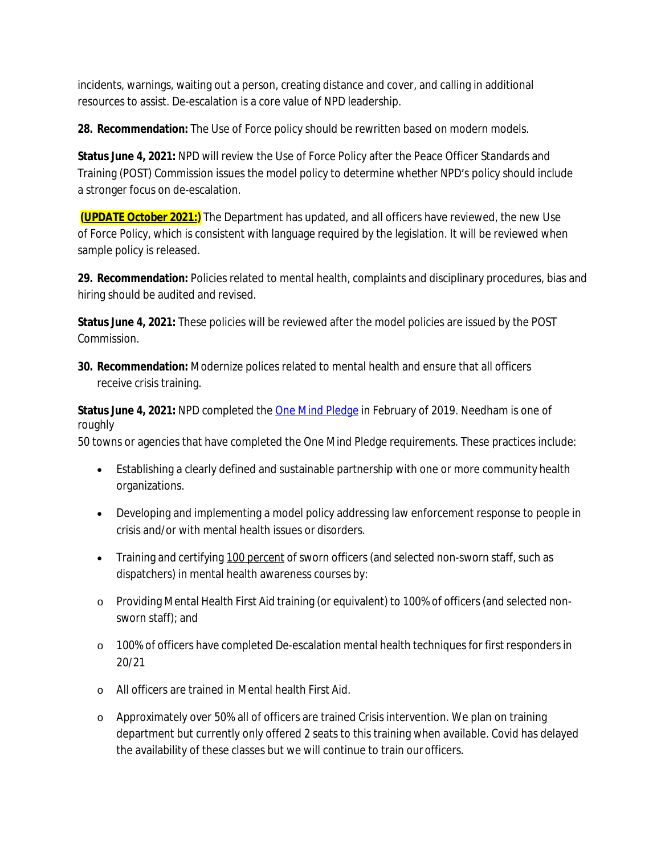incidents, warnings, waiting out a person, creating distance and cover, and calling in additional resources to assist. De-escalation is a core value of NPD leadership.

**28. Recommendation:** The Use of Force policy should be rewritten based on modern models.

**Status June 4, 2021:** NPD will review the Use of Force Policy after the Peace Officer Standards and Training (POST) Commission issues the model policy to determine whether NPD's policy should include a stronger focus on de-escalation.

**(UPDATE October 2021:)** The Department has updated, and all officers have reviewed, the new Use of Force Policy, which is consistent with language required by the legislation. It will be reviewed when sample policy is released.

**29. Recommendation:** Policies related to mental health, complaints and disciplinary procedures, bias and hiring should be audited and revised.

**Status June 4, 2021:** These policies will be reviewed after the model policies are issued by the POST Commission.

**30. Recommendation:** Modernize polices related to mental health and ensure that all officers receive crisis training.

**Status June 4, 2021:** NPD completed the [One Mind Pledge](https://www.theiacp.org/one-mind-pledge) [i](https://www.theiacp.org/one-mind-pledge)n February of 2019. Needham is one of roughly

50 towns or agencies that have completed the One Mind Pledge requirements. These practices include:

- Establishing a clearly defined and sustainable partnership with one or more community health organizations.
- Developing and implementing a model policy addressing law enforcement response to people in crisis and/or with mental health issues or disorders.
- Training and certifying 100 percent of sworn officers (and selected non-sworn staff, such as dispatchers) in mental health awareness courses by:
- o Providing Mental Health First Aid training (or equivalent) to 100% of officers (and selected nonsworn staff); and
- o 100% of officers have completed De-escalation mental health techniques for first respondersin 20/21
- o All officers are trained in Mental health First Aid.
- o Approximately over 50% all of officers are trained Crisis intervention. We plan on training department but currently only offered 2 seats to this training when available. Covid has delayed the availability of these classes but we will continue to train ourofficers.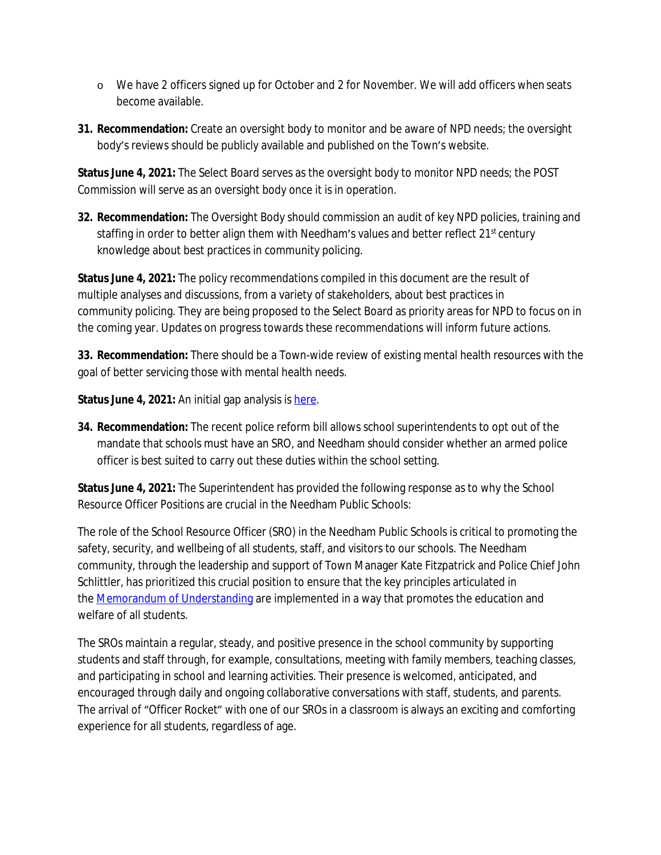- o We have 2 officers signed up for October and 2 for November. We will add officers when seats become available.
- **31. Recommendation:** Create an oversight body to monitor and be aware of NPD needs; the oversight body's reviews should be publicly available and published on the Town's website.

**Status June 4, 2021:** The Select Board serves as the oversight body to monitor NPD needs; the POST Commission will serve as an oversight body once it is in operation.

**32. Recommendation:** The Oversight Body should commission an audit of key NPD policies, training and staffing in order to better align them with Needham's values and better reflect 21<sup>st</sup> century knowledge about best practices in community policing.

**Status June 4, 2021:** The policy recommendations compiled in this document are the result of multiple analyses and discussions, from a variety of stakeholders, about best practices in community policing. They are being proposed to the Select Board as priority areas for NPD to focus on in the coming year. Updates on progress towards these recommendations will inform future actions.

**33. Recommendation:** There should be a Town-wide review of existing mental health resources with the goal of better servicing those with mental health needs.

**Status June 4, 2021:** An initial gap analysis is here.

**34. Recommendation:** The recent police reform bill allows school superintendents to opt out of the mandate that schools must have an SRO, and Needham should consider whether an armed police officer is best suited to carry out these duties within the school setting.

**Status June 4, 2021:** The Superintendent has provided the following response as to why the School Resource Officer Positions are crucial in the Needham Public Schools:

The role of the School Resource Officer (SRO) in the Needham Public Schools is critical to promoting the safety, security, and wellbeing of all students, staff, and visitors to our schools. The Needham community, through the leadership and support of Town Manager Kate Fitzpatrick and Police Chief John Schlittler, has prioritized this crucial position to ensure that the key principles articulated in the **Memorandum of Understanding** are implemented in a way that promotes the education and welfare of all students.

The SROs maintain a regular, steady, and positive presence in the school community by supporting students and staff through, for example, consultations, meeting with family members, teaching classes, and participating in school and learning activities. Their presence is welcomed, anticipated, and encouraged through daily and ongoing collaborative conversations with staff, students, and parents. The arrival of "Officer Rocket" with one of our SROs in a classroom is always an exciting and comforting experience for all students, regardless of age.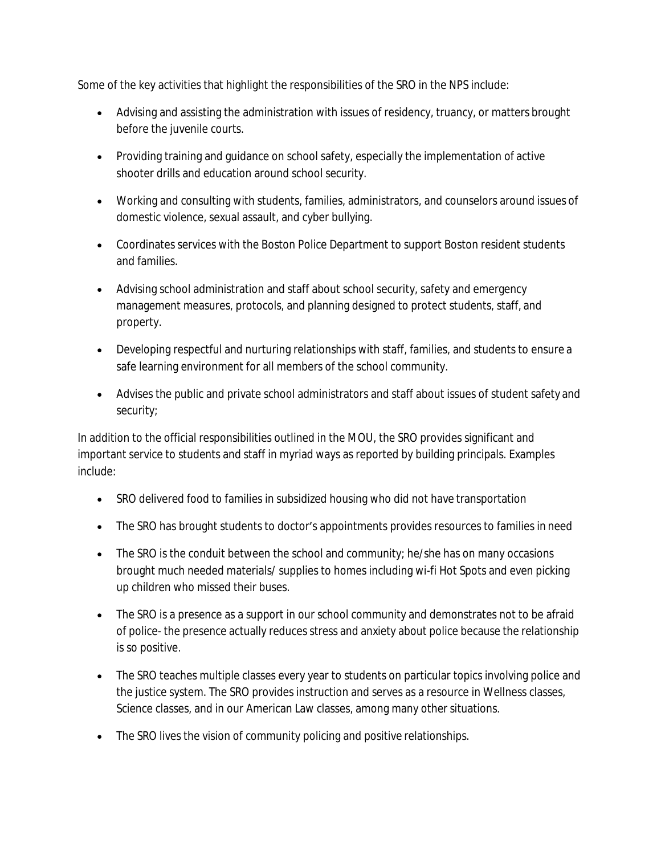Some of the key activities that highlight the responsibilities of the SRO in the NPS include:

- Advising and assisting the administration with issues of residency, truancy, or matters brought before the juvenile courts.
- Providing training and quidance on school safety, especially the implementation of active shooter drills and education around school security.
- Working and consulting with students, families, administrators, and counselors around issues of domestic violence, sexual assault, and cyber bullying.
- Coordinates services with the Boston Police Department to support Boston resident students and families.
- Advising school administration and staff about school security, safety and emergency management measures, protocols, and planning designed to protect students, staff, and property.
- Developing respectful and nurturing relationships with staff, families, and students to ensure a safe learning environment for all members of the school community.
- Advises the public and private school administrators and staff about issues of student safety and security;

In addition to the official responsibilities outlined in the MOU, the SRO provides significant and important service to students and staff in myriad ways as reported by building principals. Examples include:

- SRO delivered food to families in subsidized housing who did not have transportation
- The SRO has brought students to doctor's appointments provides resources to families in need
- The SRO is the conduit between the school and community; he/she has on many occasions brought much needed materials/ supplies to homes including wi-fi Hot Spots and even picking up children who missed their buses.
- The SRO is a presence as a support in our school community and demonstrates not to be afraid of police- the presence actually reduces stress and anxiety about police because the relationship is so positive.
- The SRO teaches multiple classes every year to students on particular topics involving police and the justice system. The SRO provides instruction and serves as a resource in Wellness classes, Science classes, and in our American Law classes, among many other situations.
- The SRO lives the vision of community policing and positive relationships.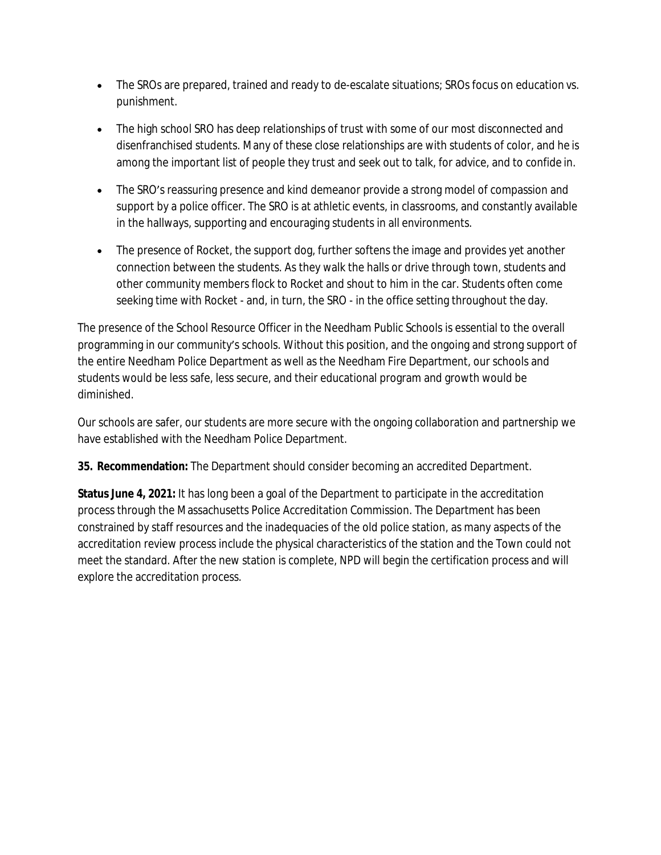- The SROs are prepared, trained and ready to de-escalate situations; SROs focus on education vs. punishment.
- The high school SRO has deep relationships of trust with some of our most disconnected and disenfranchised students. Many of these close relationships are with students of color, and he is among the important list of people they trust and seek out to talk, for advice, and to confide in.
- The SRO's reassuring presence and kind demeanor provide a strong model of compassion and support by a police officer. The SRO is at athletic events, in classrooms, and constantly available in the hallways, supporting and encouraging students in all environments.
- The presence of Rocket, the support dog, further softens the image and provides yet another connection between the students. As they walk the halls or drive through town, students and other community members flock to Rocket and shout to him in the car. Students often come seeking time with Rocket - and, in turn, the SRO - in the office setting throughout the day.

The presence of the School Resource Officer in the Needham Public Schools is essential to the overall programming in our community's schools. Without this position, and the ongoing and strong support of the entire Needham Police Department as well as the Needham Fire Department, our schools and students would be less safe, less secure, and their educational program and growth would be diminished.

Our schools are safer, our students are more secure with the ongoing collaboration and partnership we have established with the Needham Police Department.

**35. Recommendation:** The Department should consider becoming an accredited Department.

**Status June 4, 2021:** It has long been a goal of the Department to participate in the accreditation process through the Massachusetts Police Accreditation Commission. The Department has been constrained by staff resources and the inadequacies of the old police station, as many aspects of the accreditation review process include the physical characteristics of the station and the Town could not meet the standard. After the new station is complete, NPD will begin the certification process and will explore the accreditation process.